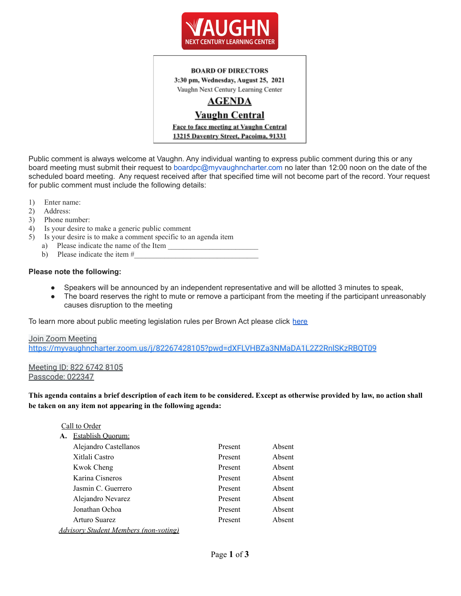

#### **BOARD OF DIRECTORS**

3:30 pm, Wednesday, August 25, 2021 Vaughn Next Century Learning Center

# **AGENDA**

## **Vaughn Central**

Face to face meeting at Vaughn Central 13215 Daventry Street, Pacoima, 91331

Public comment is always welcome at Vaughn. Any individual wanting to express public comment during this or any board meeting must submit their request to boardpc@myvaughncharter.com no later than 12:00 noon on the date of the scheduled board meeting. Any request received after that specified time will not become part of the record. Your request for public comment must include the following details:

- 1) Enter name:
- 2) Address:
- 3) Phone number:
- 4) Is your desire to make a generic public comment
- 5) Is your desire is to make a comment specific to an agenda item
	- a) Please indicate the name of the Item
	- b) Please indicate the item  $#$

### **Please note the following:**

- Speakers will be announced by an independent representative and will be allotted 3 minutes to speak,
- The board reserves the right to mute or remove a participant from the meeting if the participant unreasonably causes disruption to the meeting

To learn more about public meeting legislation rules per Brown Act please click [here](https://leginfo.legislature.ca.gov/faces/billTextClient.xhtml?bill_id=201520160AB1787)

#### Join Zoom Meeting <https://myvaughncharter.zoom.us/j/82267428105?pwd=dXFLVHBZa3NMaDA1L2Z2RnlSKzRBQT09>

#### Meeting ID: 822 6742 8105 Passcode: 022347

This agenda contains a brief description of each item to be considered. Except as otherwise provided by law, no action shall **be taken on any item not appearing in the following agenda:**

|    | Call to Order                         |         |        |
|----|---------------------------------------|---------|--------|
| A. | <b>Establish Ouorum:</b>              |         |        |
|    | Alejandro Castellanos                 | Present | Absent |
|    | Xitlali Castro                        | Present | Absent |
|    | Kwok Cheng                            | Present | Absent |
|    | Karina Cisneros                       | Present | Absent |
|    | Jasmin C. Guerrero                    | Present | Absent |
|    | Alejandro Nevarez                     | Present | Absent |
|    | Jonathan Ochoa                        | Present | Absent |
|    | Arturo Suarez                         | Present | Absent |
|    | Advisory Student Members (non-voting) |         |        |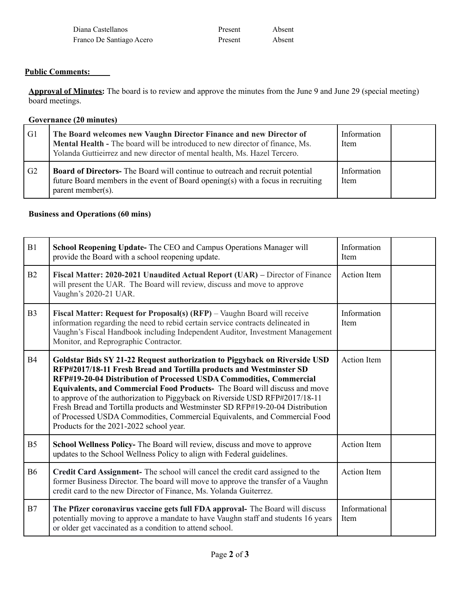| Diana Castellanos        | Present | Absent |
|--------------------------|---------|--------|
| Franco De Santiago Acero | Present | Absent |

### **Public Comments:**

**Approval of Minutes:** The board is to review and approve the minutes from the June 9 and June 29 (special meeting) board meetings.

### **Governance (20 minutes)**

| G <sub>1</sub> | The Board welcomes new Vaughn Director Finance and new Director of<br>Mental Health - The board will be introduced to new director of finance, Ms.<br>Yolanda Guttieirrez and new director of mental health, Ms. Hazel Tercero. | Information<br><b>Item</b> |  |
|----------------|---------------------------------------------------------------------------------------------------------------------------------------------------------------------------------------------------------------------------------|----------------------------|--|
| G <sub>2</sub> | <b>Board of Directors-</b> The Board will continue to outreach and recruit potential<br>future Board members in the event of Board opening(s) with a focus in recruiting<br>parent member(s).                                   | Information<br>Item        |  |

## **Business and Operations (60 mins)**

| B1             | School Reopening Update- The CEO and Campus Operations Manager will<br>provide the Board with a school reopening update.                                                                                                                                                                                                                                                                                                                                                                                                                                                                          | Information<br>Item   |  |
|----------------|---------------------------------------------------------------------------------------------------------------------------------------------------------------------------------------------------------------------------------------------------------------------------------------------------------------------------------------------------------------------------------------------------------------------------------------------------------------------------------------------------------------------------------------------------------------------------------------------------|-----------------------|--|
| B2             | Fiscal Matter: 2020-2021 Unaudited Actual Report (UAR) – Director of Finance<br>will present the UAR. The Board will review, discuss and move to approve<br>Vaughn's 2020-21 UAR.                                                                                                                                                                                                                                                                                                                                                                                                                 | <b>Action Item</b>    |  |
| B <sub>3</sub> | Fiscal Matter: Request for Proposal(s) (RFP) - Vaughn Board will receive<br>information regarding the need to rebid certain service contracts delineated in<br>Vaughn's Fiscal Handbook including Independent Auditor, Investment Management<br>Monitor, and Reprographic Contractor.                                                                                                                                                                                                                                                                                                             | Information<br>Item   |  |
| <b>B4</b>      | Goldstar Bids SY 21-22 Request authorization to Piggyback on Riverside USD<br>RFP#2017/18-11 Fresh Bread and Tortilla products and Westminster SD<br>RFP#19-20-04 Distribution of Processed USDA Commodities, Commercial<br>Equivalents, and Commercial Food Products- The Board will discuss and move<br>to approve of the authorization to Piggyback on Riverside USD RFP#2017/18-11<br>Fresh Bread and Tortilla products and Westminster SD RFP#19-20-04 Distribution<br>of Processed USDA Commodities, Commercial Equivalents, and Commercial Food<br>Products for the 2021-2022 school year. | <b>Action Item</b>    |  |
| B <sub>5</sub> | School Wellness Policy- The Board will review, discuss and move to approve<br>updates to the School Wellness Policy to align with Federal guidelines.                                                                                                                                                                                                                                                                                                                                                                                                                                             | <b>Action Item</b>    |  |
| <b>B6</b>      | Credit Card Assignment- The school will cancel the credit card assigned to the<br>former Business Director. The board will move to approve the transfer of a Vaughn<br>credit card to the new Director of Finance, Ms. Yolanda Guiterrez.                                                                                                                                                                                                                                                                                                                                                         | <b>Action Item</b>    |  |
| B7             | The Pfizer coronavirus vaccine gets full FDA approval- The Board will discuss<br>potentially moving to approve a mandate to have Vaughn staff and students 16 years<br>or older get vaccinated as a condition to attend school.                                                                                                                                                                                                                                                                                                                                                                   | Informational<br>Item |  |